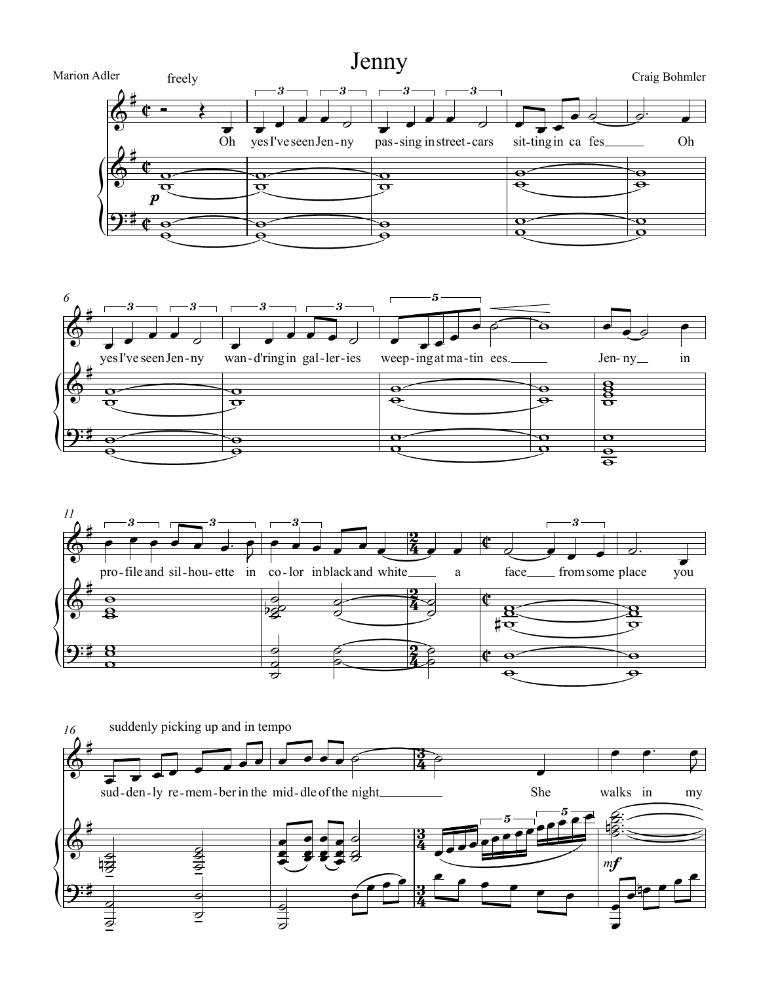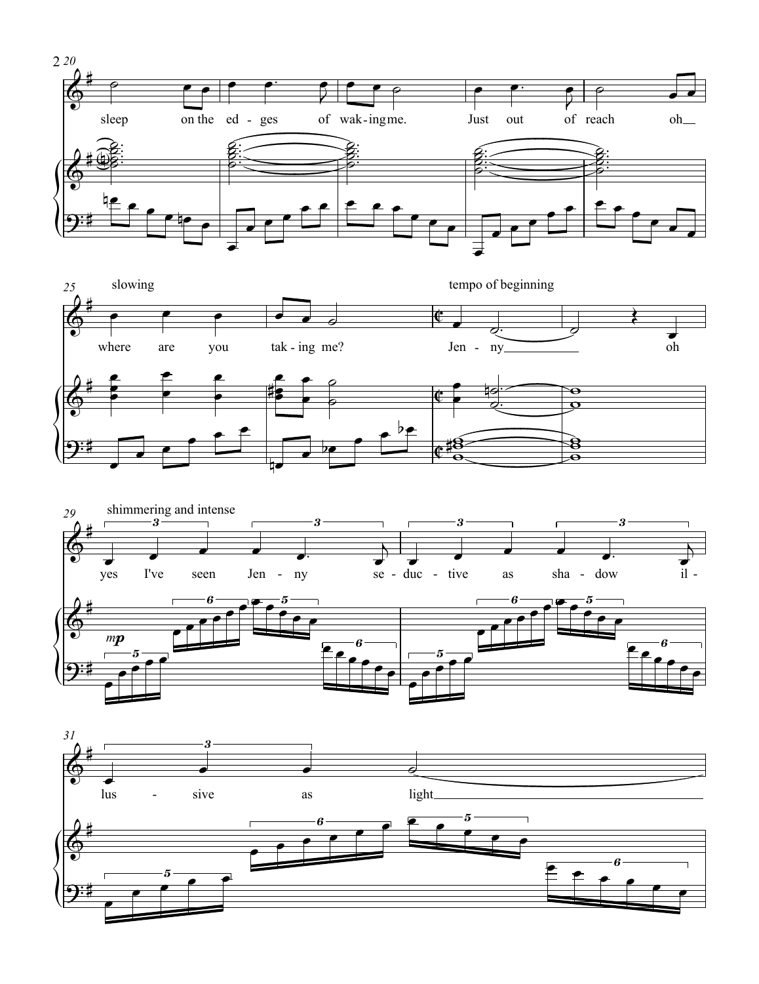





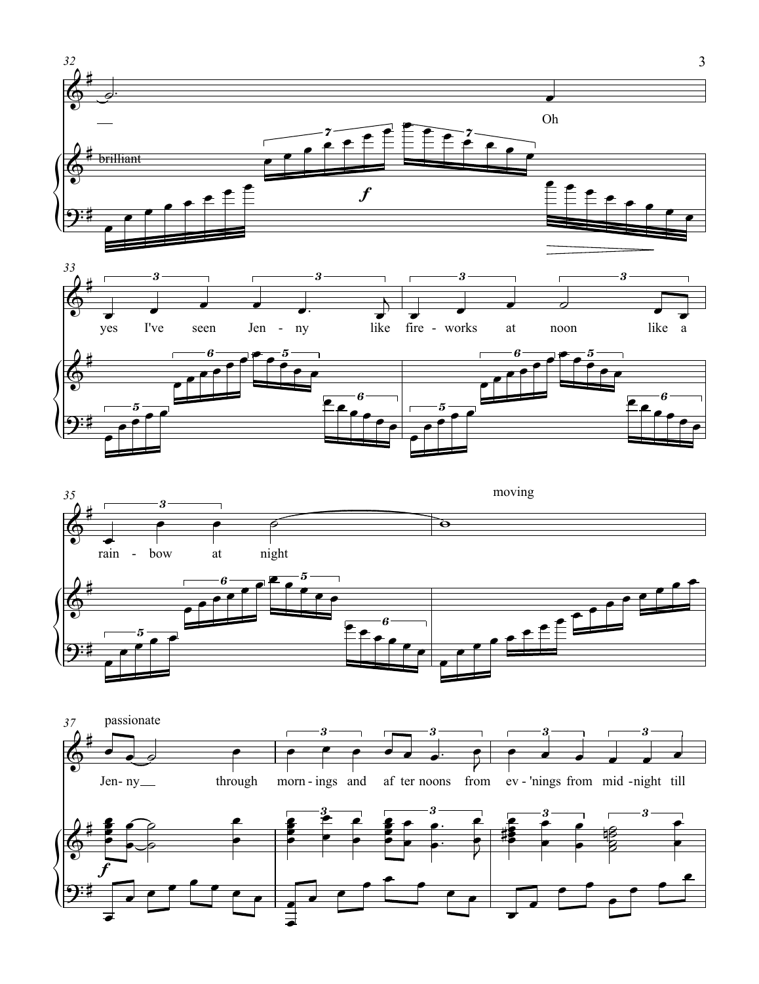





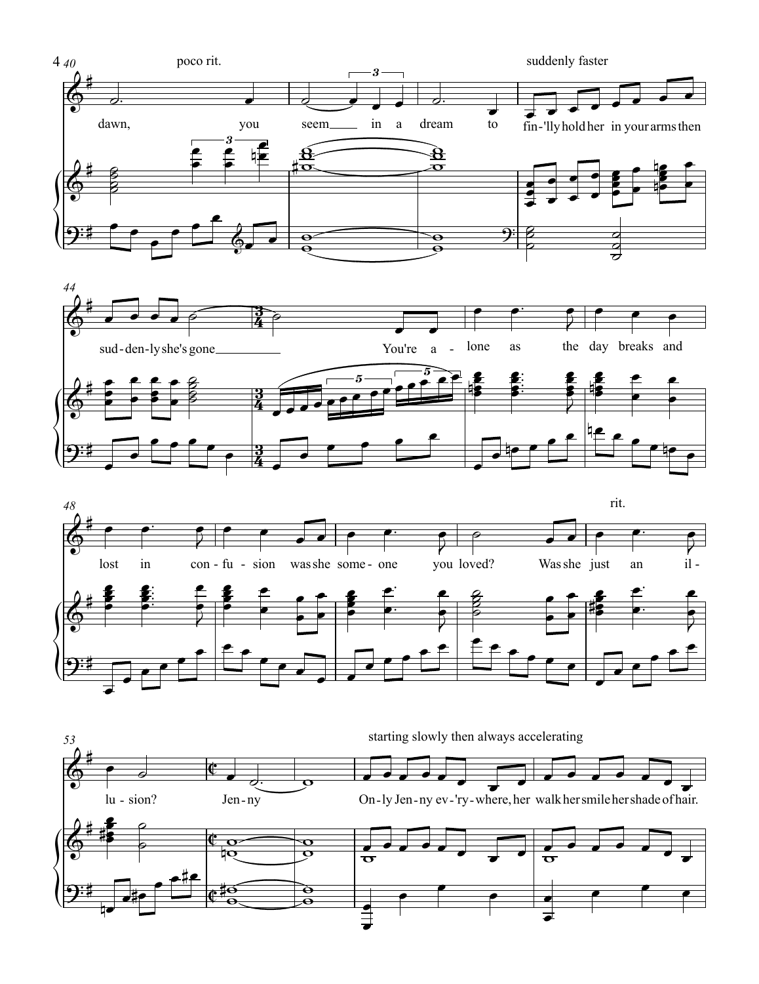